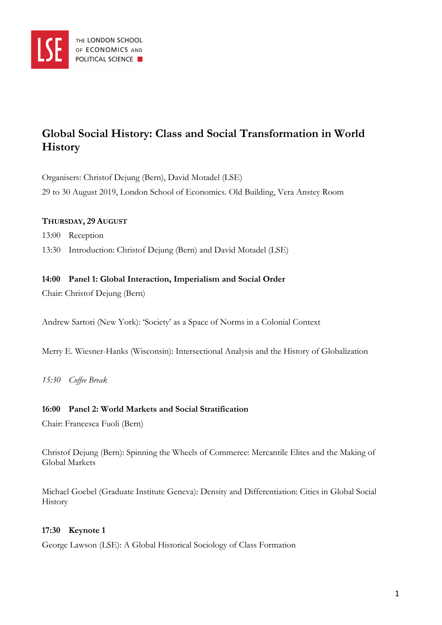

# **Global Social History: Class and Social Transformation in World History**

Organisers: Christof Dejung (Bern), David Motadel (LSE) 29 to 30 August 2019, London School of Economics. Old Building, Vera Anstey Room

### **THURSDAY, 29 AUGUST**

13:00 Reception

13:30 Introduction: Christof Dejung (Bern) and David Motadel (LSE)

#### **14:00 Panel 1: Global Interaction, Imperialism and Social Order**

Chair: Christof Dejung (Bern)

Andrew Sartori (New York): 'Society' as a Space of Norms in a Colonial Context

Merry E. Wiesner-Hanks (Wisconsin): Intersectional Analysis and the History of Globalization

*15:30 Coffee Break*

#### **16:00 Panel 2: World Markets and Social Stratification**

Chair: Francesca Fuoli (Bern)

Christof Dejung (Bern): Spinning the Wheels of Commerce: Mercantile Elites and the Making of Global Markets

Michael Goebel (Graduate Institute Geneva): Density and Differentiation: Cities in Global Social History

#### **17:30 Keynote 1**

George Lawson (LSE): A Global Historical Sociology of Class Formation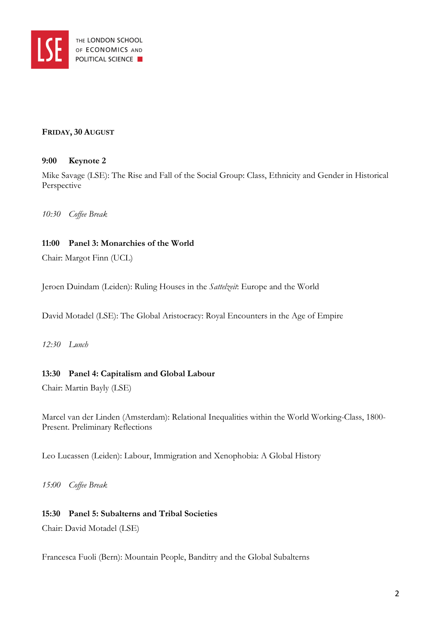

#### **FRIDAY, 30 AUGUST**

## **9:00 Keynote 2**

Mike Savage (LSE): The Rise and Fall of the Social Group: Class, Ethnicity and Gender in Historical Perspective

*10:30 Coffee Break* 

## **11:00 Panel 3: Monarchies of the World**

Chair: Margot Finn (UCL)

Jeroen Duindam (Leiden): Ruling Houses in the *Sattelzeit*: Europe and the World

David Motadel (LSE): The Global Aristocracy: Royal Encounters in the Age of Empire

*12:30 Lunch*

## **13:30 Panel 4: Capitalism and Global Labour**

Chair: Martin Bayly (LSE)

Marcel van der Linden (Amsterdam): Relational Inequalities within the World Working-Class, 1800- Present. Preliminary Reflections

Leo Lucassen (Leiden): Labour, Immigration and Xenophobia: A Global History

*15:00 Coffee Break*

## **15:30 Panel 5: Subalterns and Tribal Societies**

Chair: David Motadel (LSE)

Francesca Fuoli (Bern): Mountain People, Banditry and the Global Subalterns